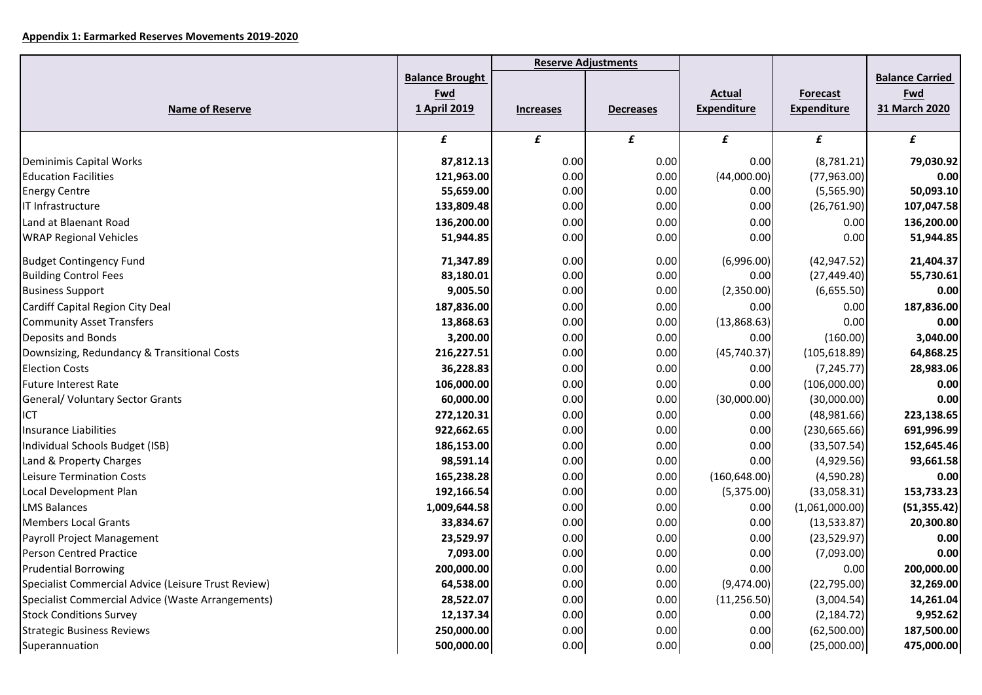## **Appendix 1: Earmarked Reserves Movements 2019-2020**

|                                                     |                                               | <b>Reserve Adjustments</b> |                  |                                     |                                       |                                                |
|-----------------------------------------------------|-----------------------------------------------|----------------------------|------------------|-------------------------------------|---------------------------------------|------------------------------------------------|
| <b>Name of Reserve</b>                              | <b>Balance Brought</b><br>Fwd<br>1 April 2019 | <b>Increases</b>           | <b>Decreases</b> | <b>Actual</b><br><b>Expenditure</b> | <b>Forecast</b><br><b>Expenditure</b> | <b>Balance Carried</b><br>Fwd<br>31 March 2020 |
|                                                     | £                                             | £                          | £                | £                                   | £                                     | £                                              |
| Deminimis Capital Works                             | 87,812.13                                     | 0.00                       | 0.00             | 0.00                                | (8,781.21)                            | 79,030.92                                      |
| <b>Education Facilities</b>                         | 121,963.00                                    | 0.00                       | 0.00             | (44,000.00)                         | (77,963.00)                           | 0.00                                           |
| <b>Energy Centre</b>                                | 55,659.00                                     | 0.00                       | 0.00             | 0.00                                | (5,565.90)                            | 50,093.10                                      |
| IT Infrastructure                                   | 133,809.48                                    | 0.00                       | 0.00             | 0.00                                | (26, 761.90)                          | 107,047.58                                     |
| Land at Blaenant Road                               | 136,200.00                                    | 0.00                       | 0.00             | 0.00                                | 0.00                                  | 136,200.00                                     |
| <b>WRAP Regional Vehicles</b>                       | 51,944.85                                     | 0.00                       | 0.00             | 0.00                                | 0.00                                  | 51,944.85                                      |
| <b>Budget Contingency Fund</b>                      | 71,347.89                                     | 0.00                       | 0.00             | (6,996.00)                          | (42, 947.52)                          | 21,404.37                                      |
| <b>Building Control Fees</b>                        | 83,180.01                                     | 0.00                       | 0.00             | 0.00                                | (27, 449.40)                          | 55,730.61                                      |
| <b>Business Support</b>                             | 9,005.50                                      | 0.00                       | 0.00             | (2,350.00)                          | (6,655.50)                            | 0.00                                           |
| Cardiff Capital Region City Deal                    | 187,836.00                                    | 0.00                       | 0.00             | 0.00                                | 0.00                                  | 187,836.00                                     |
| <b>Community Asset Transfers</b>                    | 13,868.63                                     | 0.00                       | 0.00             | (13,868.63)                         | 0.00                                  | 0.00                                           |
| Deposits and Bonds                                  | 3,200.00                                      | 0.00                       | 0.00             | 0.00                                | (160.00)                              | 3,040.00                                       |
| Downsizing, Redundancy & Transitional Costs         | 216,227.51                                    | 0.00                       | 0.00             | (45, 740.37)                        | (105, 618.89)                         | 64,868.25                                      |
| <b>Election Costs</b>                               | 36,228.83                                     | 0.00                       | 0.00             | 0.00                                | (7, 245.77)                           | 28,983.06                                      |
| <b>Future Interest Rate</b>                         | 106,000.00                                    | 0.00                       | 0.00             | 0.00                                | (106,000.00)                          | 0.00                                           |
| General/ Voluntary Sector Grants                    | 60,000.00                                     | 0.00                       | 0.00             | (30,000.00)                         | (30,000.00)                           | 0.00                                           |
| ICT                                                 | 272,120.31                                    | 0.00                       | 0.00             | 0.00                                | (48,981.66)                           | 223,138.65                                     |
| Insurance Liabilities                               | 922,662.65                                    | 0.00                       | 0.00             | 0.00                                | (230, 665.66)                         | 691,996.99                                     |
| Individual Schools Budget (ISB)                     | 186,153.00                                    | 0.00                       | 0.00             | 0.00                                | (33,507.54)                           | 152,645.46                                     |
| Land & Property Charges                             | 98,591.14                                     | 0.00                       | 0.00             | 0.00                                | (4,929.56)                            | 93,661.58                                      |
| Leisure Termination Costs                           | 165,238.28                                    | 0.00                       | 0.00             | (160, 648.00)                       | (4,590.28)                            | 0.00                                           |
| Local Development Plan                              | 192,166.54                                    | 0.00                       | 0.00             | (5,375.00)                          | (33,058.31)                           | 153,733.23                                     |
| <b>LMS Balances</b>                                 | 1,009,644.58                                  | 0.00                       | 0.00             | 0.00                                | (1,061,000.00)                        | (51, 355.42)                                   |
| <b>Members Local Grants</b>                         | 33,834.67                                     | 0.00                       | 0.00             | 0.00                                | (13,533.87)                           | 20,300.80                                      |
| Payroll Project Management                          | 23,529.97                                     | 0.00                       | 0.00             | 0.00                                | (23,529.97)                           | 0.00                                           |
| Person Centred Practice                             | 7,093.00                                      | 0.00                       | 0.00             | 0.00                                | (7,093.00)                            | 0.00                                           |
| <b>Prudential Borrowing</b>                         | 200,000.00                                    | 0.00                       | 0.00             | 0.00                                | 0.00                                  | 200,000.00                                     |
| Specialist Commercial Advice (Leisure Trust Review) | 64,538.00                                     | 0.00                       | 0.00             | (9,474.00)                          | (22,795.00)                           | 32,269.00                                      |
| Specialist Commercial Advice (Waste Arrangements)   | 28,522.07                                     | 0.00                       | 0.00             | (11, 256.50)                        | (3,004.54)                            | 14,261.04                                      |
| <b>Stock Conditions Survey</b>                      | 12,137.34                                     | 0.00                       | 0.00             | 0.00                                | (2, 184.72)                           | 9,952.62                                       |
| <b>Strategic Business Reviews</b>                   | 250,000.00                                    | 0.00                       | 0.00             | 0.00                                | (62,500.00)                           | 187,500.00                                     |
| Superannuation                                      | 500,000.00                                    | 0.00                       | 0.00             | 0.00                                | (25,000.00)                           | 475,000.00                                     |